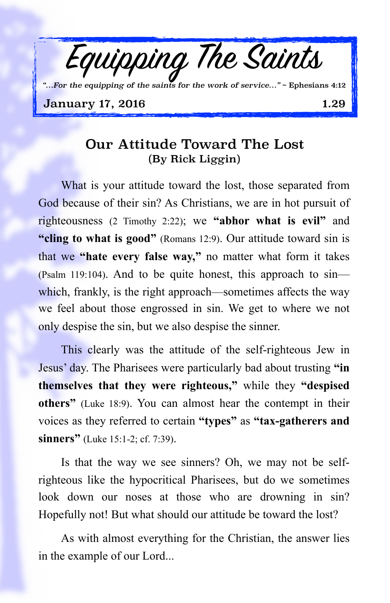

## Our Attitude Toward The Lost (By Rick Liggin)

What is your attitude toward the lost, those separated from God because of their sin? As Christians, we are in hot pursuit of righteousness (2 Timothy 2:22); we **"abhor what is evil"** and **"cling to what is good"** (Romans 12:9). Our attitude toward sin is that we **"hate every false way,"** no matter what form it takes (Psalm 119:104). And to be quite honest, this approach to sin which, frankly, is the right approach—sometimes affects the way we feel about those engrossed in sin. We get to where we not only despise the sin, but we also despise the sinner.

This clearly was the attitude of the self-righteous Jew in Jesus' day. The Pharisees were particularly bad about trusting **"in themselves that they were righteous,"** while they **"despised others"** (Luke 18:9). You can almost hear the contempt in their voices as they referred to certain **"types"** as **"tax-gatherers and sinners"** (Luke 15:1-2; cf. 7:39).

Is that the way we see sinners? Oh, we may not be selfrighteous like the hypocritical Pharisees, but do we sometimes look down our noses at those who are drowning in sin? Hopefully not! But what should our attitude be toward the lost?

As with almost everything for the Christian, the answer lies in the example of our Lord...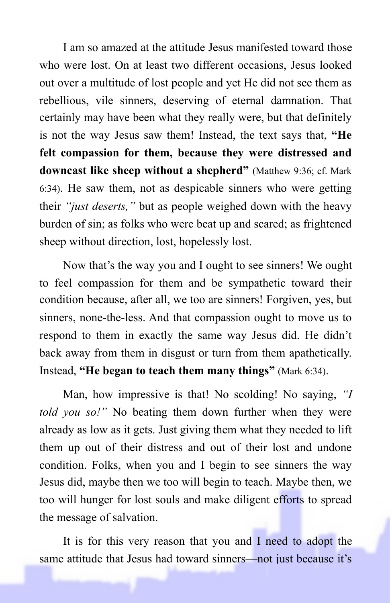I am so amazed at the attitude Jesus manifested toward those who were lost. On at least two different occasions, Jesus looked out over a multitude of lost people and yet He did not see them as rebellious, vile sinners, deserving of eternal damnation. That certainly may have been what they really were, but that definitely is not the way Jesus saw them! Instead, the text says that, **"He felt compassion for them, because they were distressed and downcast like sheep without a shepherd"** (Matthew 9:36; cf. Mark 6:34). He saw them, not as despicable sinners who were getting their *"just deserts,"* but as people weighed down with the heavy burden of sin; as folks who were beat up and scared; as frightened sheep without direction, lost, hopelessly lost.

Now that's the way you and I ought to see sinners! We ought to feel compassion for them and be sympathetic toward their condition because, after all, we too are sinners! Forgiven, yes, but sinners, none-the-less. And that compassion ought to move us to respond to them in exactly the same way Jesus did. He didn't back away from them in disgust or turn from them apathetically. Instead, **"He began to teach them many things"** (Mark 6:34).

Man, how impressive is that! No scolding! No saying, *"I told you so!"* No beating them down further when they were already as low as it gets. Just giving them what they needed to lift them up out of their distress and out of their lost and undone condition. Folks, when you and I begin to see sinners the way Jesus did, maybe then we too will begin to teach. Maybe then, we too will hunger for lost souls and make diligent efforts to spread the message of salvation.

It is for this very reason that you and I need to adopt the same attitude that Jesus had toward sinners—not just because it's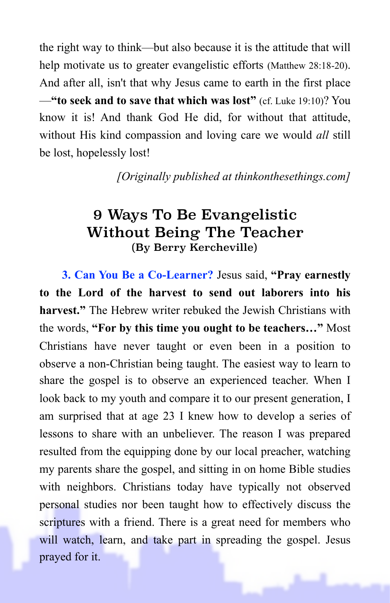the right way to think—but also because it is the attitude that will help motivate us to greater evangelistic efforts (Matthew 28:18-20). And after all, isn't that why Jesus came to earth in the first place —**"to seek and to save that which was lost"** (cf. Luke 19:10)? You know it is! And thank God He did, for without that attitude, without His kind compassion and loving care we would *all* still be lost, hopelessly lost!

*[Originally published at thinkonthesethings.com]*

## 9 Ways To Be Evangelistic Without Being The Teacher (By Berry Kercheville)

**3. Can You Be a Co-Learner?** Jesus said, **"Pray earnestly to the Lord of the harvest to send out laborers into his harvest."** The Hebrew writer rebuked the Jewish Christians with the words, **"For by this time you ought to be teachers…"** Most Christians have never taught or even been in a position to observe a non-Christian being taught. The easiest way to learn to share the gospel is to observe an experienced teacher. When I look back to my youth and compare it to our present generation, I am surprised that at age 23 I knew how to develop a series of lessons to share with an unbeliever. The reason I was prepared resulted from the equipping done by our local preacher, watching my parents share the gospel, and sitting in on home Bible studies with neighbors. Christians today have typically not observed personal studies nor been taught how to effectively discuss the scriptures with a friend. There is a great need for members who will watch, learn, and take part in spreading the gospel. Jesus prayed for it.